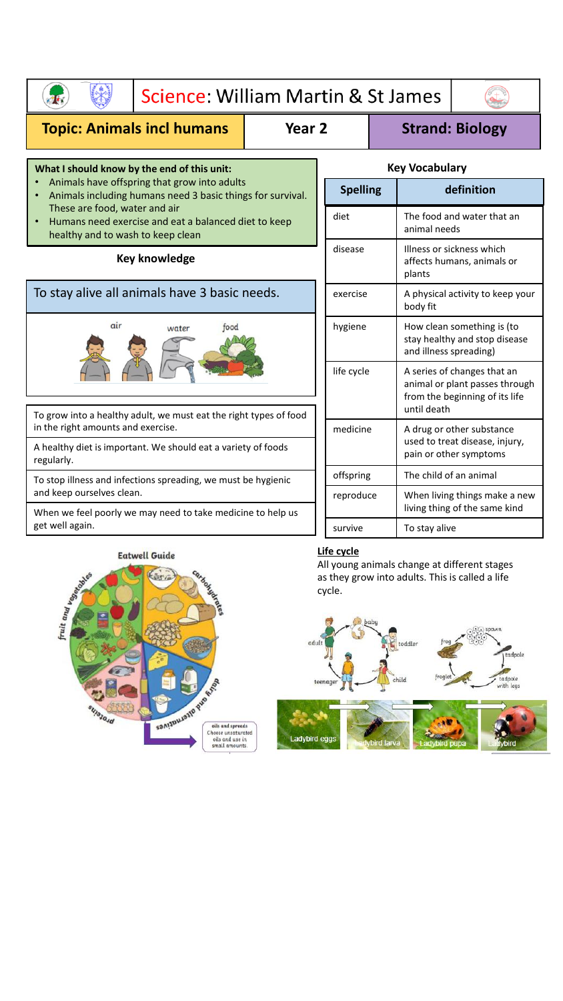| Science: William Martin & St James                                                                                                                                                                                                                                                                   |  |                                                                                                                              |  |                                                                   |                                                             |  |
|------------------------------------------------------------------------------------------------------------------------------------------------------------------------------------------------------------------------------------------------------------------------------------------------------|--|------------------------------------------------------------------------------------------------------------------------------|--|-------------------------------------------------------------------|-------------------------------------------------------------|--|
| <b>Topic: Animals incl humans</b><br>Year <sub>2</sub>                                                                                                                                                                                                                                               |  | <b>Strand: Biology</b>                                                                                                       |  |                                                                   |                                                             |  |
| What I should know by the end of this unit:<br>Animals have offspring that grow into adults<br>Animals including humans need 3 basic things for survival.<br>These are food, water and air<br>Humans need exercise and eat a balanced diet to keep<br>$\bullet$<br>healthy and to wash to keep clean |  | <b>Key Vocabulary</b>                                                                                                        |  |                                                                   |                                                             |  |
|                                                                                                                                                                                                                                                                                                      |  | <b>Spelling</b>                                                                                                              |  |                                                                   | definition                                                  |  |
|                                                                                                                                                                                                                                                                                                      |  | diet                                                                                                                         |  | The food and water that an<br>animal needs                        |                                                             |  |
| <b>Key knowledge</b>                                                                                                                                                                                                                                                                                 |  | disease                                                                                                                      |  | Illness or sickness which<br>affects humans, animals or<br>plants |                                                             |  |
| To stay alive all animals have 3 basic needs.                                                                                                                                                                                                                                                        |  | exercise                                                                                                                     |  | A physical activity to keep your<br>body fit                      |                                                             |  |
| air<br>food<br>water<br>To grow into a healthy adult, we must eat the right types of food<br>in the right amounts and exercise.<br>A healthy diet is important. We should eat a variety of foods<br>regularly.                                                                                       |  | hygiene                                                                                                                      |  | and illness spreading)                                            | How clean something is (to<br>stay healthy and stop disease |  |
|                                                                                                                                                                                                                                                                                                      |  | life cycle<br>A series of changes that an<br>animal or plant passes through<br>from the beginning of its life<br>until death |  |                                                                   |                                                             |  |
|                                                                                                                                                                                                                                                                                                      |  | medicine                                                                                                                     |  |                                                                   | A drug or other substance                                   |  |
|                                                                                                                                                                                                                                                                                                      |  |                                                                                                                              |  | used to treat disease, injury,<br>pain or other symptoms          |                                                             |  |
| To stop illness and infections spreading, we must be hygienic                                                                                                                                                                                                                                        |  | offspring                                                                                                                    |  | The child of an animal                                            |                                                             |  |
| and keep ourselves clean.<br>When we feel poorly we may need to take medicine to help us                                                                                                                                                                                                             |  | reproduce                                                                                                                    |  | When living things make a new<br>living thing of the same kind    |                                                             |  |
| get well again.                                                                                                                                                                                                                                                                                      |  | survive                                                                                                                      |  | To stay alive                                                     |                                                             |  |



## **Life cycle**

adybird egg

All young animals change at different stages as they grow into adults. This is called a life cycle.

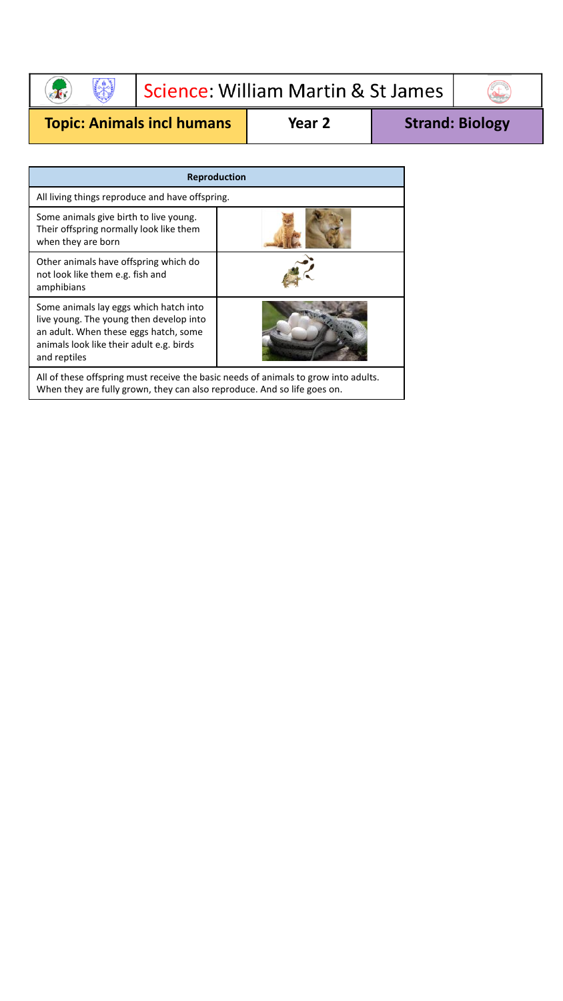## $\left(\begin{matrix} 1 \\ 1 \\ 0 \end{matrix}\right)$ Science: William Martin & St James E

```
Topic: Animals incl humans Year 2 Strand: Biology
```
 $\overline{\phantom{a}}$ 

| <b>Reproduction</b>                                                                                                                                                                    |  |  |  |
|----------------------------------------------------------------------------------------------------------------------------------------------------------------------------------------|--|--|--|
| All living things reproduce and have offspring.                                                                                                                                        |  |  |  |
| Some animals give birth to live young.<br>Their offspring normally look like them<br>when they are born                                                                                |  |  |  |
| Other animals have offspring which do<br>not look like them e.g. fish and<br>amphibians                                                                                                |  |  |  |
| Some animals lay eggs which hatch into<br>live young. The young then develop into<br>an adult. When these eggs hatch, some<br>animals look like their adult e.g. birds<br>and reptiles |  |  |  |
| All of these offspring must receive the basic needs of animals to grow into adults.                                                                                                    |  |  |  |

When they are fully grown, they can also reproduce. And so life goes on.